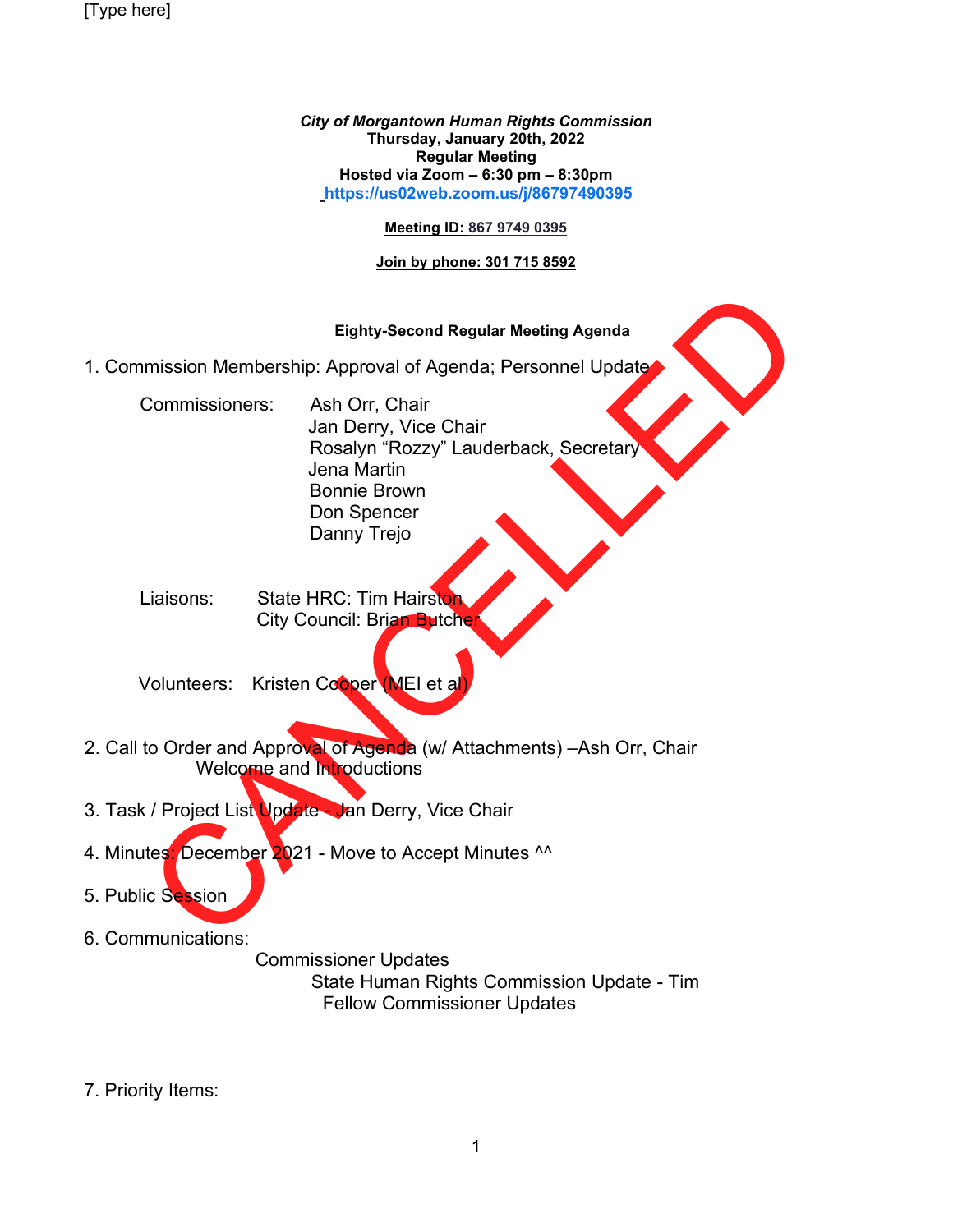[Type here]

*City of Morgantown Human Rights Commission* **Thursday, January 20th, 2022 Regular Meeting Hosted via Zoom – 6:30 pm – 8:30pm [https://us02web.zoom.us/j/86797490395](https://us02web.zoom.us/j/86797490395?pwd=dUJOdzJDSzcwRG51OTBqSGJML3BJZz09)**

## **Meeting ID: 867 9749 0395**

## **Join by phone: 301 715 8592**

## **Eighty-Second Regular Meeting Agenda**

1. Commission Membership: Approval of Agenda; Personnel Update

Elghty-Second Regular Meeting Agenda<br>
mission Membership: Approval of Agenda; Personnel Update<br>
Commissioners: Ash Orr, Chair<br>
Jan Derry, Vice Chair<br>
Janni Brown<br>
Donn Spencer<br>
Danni Brown<br>
Donn Spencer<br>
Danny Trejo<br>
City Commissioners: Ash Orr, Chair Jan Derry, Vice Chair Rosalyn "Rozzy" Lauderback, Secretary Jena Martin Bonnie Brown Don Spencer Danny Trejo

Liaisons: State HRC: Tim Hairston **City Council: Brian Butcher** 

Volunteers: Kristen Cooper (MEI et a

- 2. Call to Order and Approval of Agenda (w/ Attachments) Ash Orr, Chair Welcome and Introductions
- 3. Task / Project List Update Jan Derry, Vice Chair
- 4. Minutes: December 2021 Move to Accept Minutes ^^

5. Public Session

6. Communications:

 Commissioner Updates State Human Rights Commission Update - Tim Fellow Commissioner Updates

7. Priority Items: